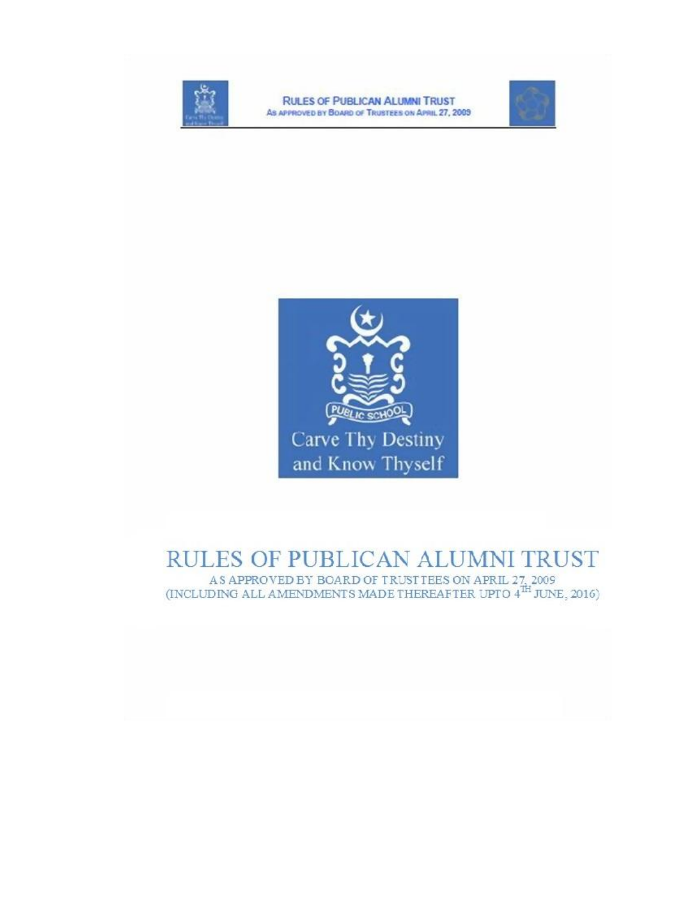

**RULES OF PUBLICAN ALUMNI TRUST** AS APPROVED BY BOARD OF TRUSTEES ON APRIL 27, 2009





# RULES OF PUBLICAN ALUMNI TRUST

AS APPROVED BY BOARD OF TRUSTTEES ON APRIL 27, 2009 (INCLUDING ALL AMENDMENTS MADE THEREAFTER UPTO  $4^{\text{TH}}$  JUNE, 2016)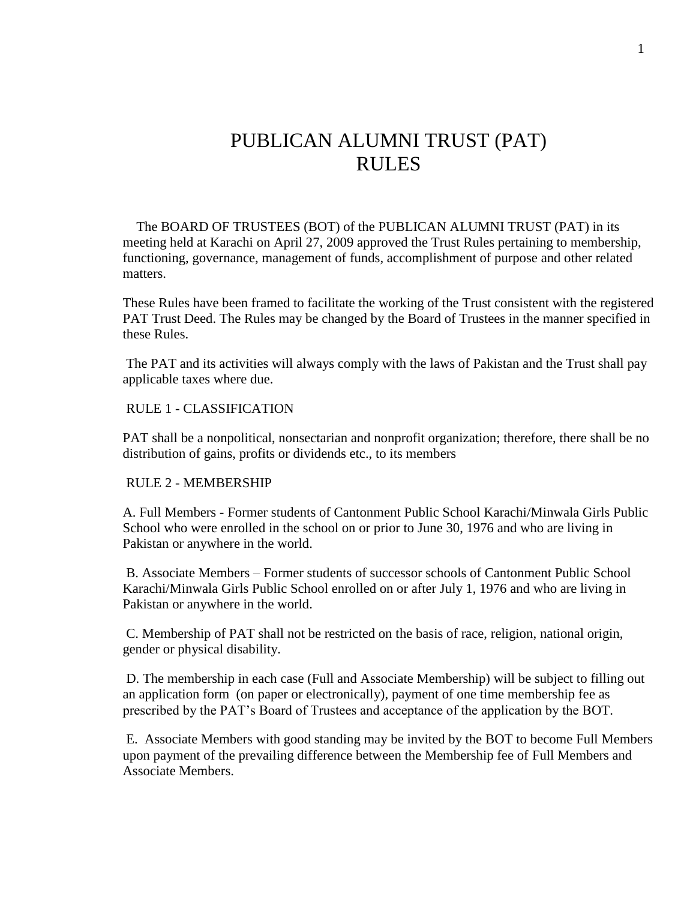# PUBLICAN ALUMNI TRUST (PAT) RULES

 The BOARD OF TRUSTEES (BOT) of the PUBLICAN ALUMNI TRUST (PAT) in its meeting held at Karachi on April 27, 2009 approved the Trust Rules pertaining to membership, functioning, governance, management of funds, accomplishment of purpose and other related matters.

These Rules have been framed to facilitate the working of the Trust consistent with the registered PAT Trust Deed. The Rules may be changed by the Board of Trustees in the manner specified in these Rules.

The PAT and its activities will always comply with the laws of Pakistan and the Trust shall pay applicable taxes where due.

#### RULE 1 - CLASSIFICATION

PAT shall be a nonpolitical, nonsectarian and nonprofit organization; therefore, there shall be no distribution of gains, profits or dividends etc., to its members

#### RULE 2 - MEMBERSHIP

A. Full Members - Former students of Cantonment Public School Karachi/Minwala Girls Public School who were enrolled in the school on or prior to June 30, 1976 and who are living in Pakistan or anywhere in the world.

B. Associate Members – Former students of successor schools of Cantonment Public School Karachi/Minwala Girls Public School enrolled on or after July 1, 1976 and who are living in Pakistan or anywhere in the world.

C. Membership of PAT shall not be restricted on the basis of race, religion, national origin, gender or physical disability.

D. The membership in each case (Full and Associate Membership) will be subject to filling out an application form (on paper or electronically), payment of one time membership fee as prescribed by the PAT's Board of Trustees and acceptance of the application by the BOT.

E. Associate Members with good standing may be invited by the BOT to become Full Members upon payment of the prevailing difference between the Membership fee of Full Members and Associate Members.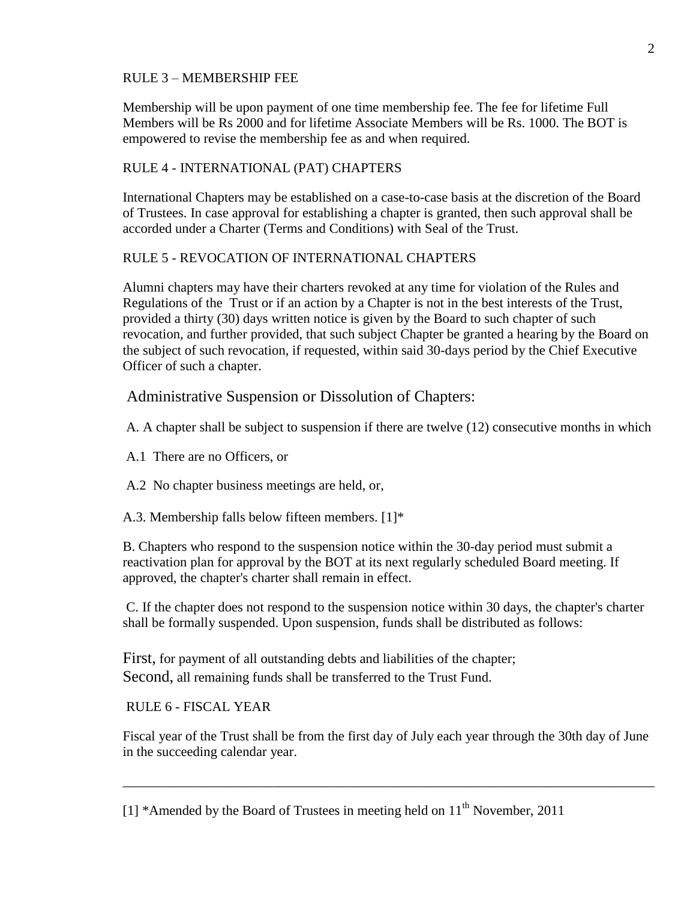## RULE 3 – MEMBERSHIP FEE

Membership will be upon payment of one time membership fee. The fee for lifetime Full Members will be Rs 2000 and for lifetime Associate Members will be Rs. 1000. The BOT is empowered to revise the membership fee as and when required.

#### RULE 4 - INTERNATIONAL (PAT) CHAPTERS

International Chapters may be established on a case-to-case basis at the discretion of the Board of Trustees. In case approval for establishing a chapter is granted, then such approval shall be accorded under a Charter (Terms and Conditions) with Seal of the Trust.

## RULE 5 - REVOCATION OF INTERNATIONAL CHAPTERS

Alumni chapters may have their charters revoked at any time for violation of the Rules and Regulations of the Trust or if an action by a Chapter is not in the best interests of the Trust, provided a thirty (30) days written notice is given by the Board to such chapter of such revocation, and further provided, that such subject Chapter be granted a hearing by the Board on the subject of such revocation, if requested, within said 30-days period by the Chief Executive Officer of such a chapter.

## Administrative Suspension or Dissolution of Chapters:

A. A chapter shall be subject to suspension if there are twelve (12) consecutive months in which

A.1 There are no Officers, or

A.2 No chapter business meetings are held, or,

A.3. Membership falls below fifteen members. [1]\*

B. Chapters who respond to the suspension notice within the 30-day period must submit a reactivation plan for approval by the BOT at its next regularly scheduled Board meeting. If approved, the chapter's charter shall remain in effect.

C. If the chapter does not respond to the suspension notice within 30 days, the chapter's charter shall be formally suspended. Upon suspension, funds shall be distributed as follows:

First, for payment of all outstanding debts and liabilities of the chapter; Second, all remaining funds shall be transferred to the Trust Fund.

RULE 6 - FISCAL YEAR

Fiscal year of the Trust shall be from the first day of July each year through the 30th day of June in the succeeding calendar year.

\_\_\_\_\_\_\_\_\_\_\_\_\_\_\_\_\_\_\_\_\_\_\_\_\_\_\_\_\_\_\_\_\_\_\_\_\_\_\_\_\_\_\_\_\_\_\_\_\_\_\_\_\_\_\_\_\_\_\_\_\_\_\_\_\_\_\_\_\_\_\_\_\_\_\_\_\_\_

<sup>[1] \*</sup>Amended by the Board of Trustees in meeting held on  $11<sup>th</sup>$  November, 2011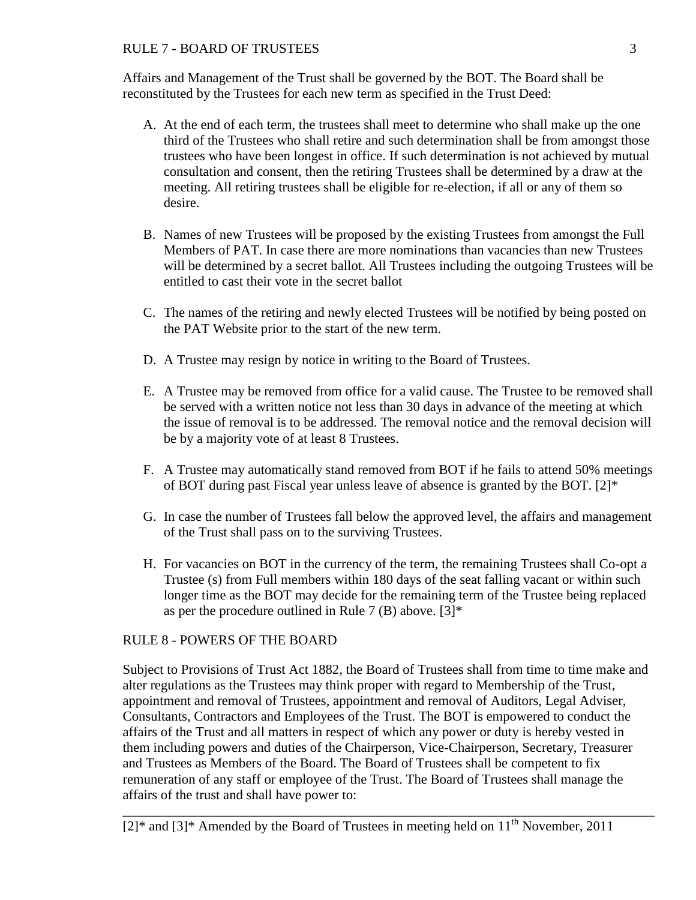## RULE 7 - BOARD OF TRUSTEES 3

Affairs and Management of the Trust shall be governed by the BOT. The Board shall be reconstituted by the Trustees for each new term as specified in the Trust Deed:

- A. At the end of each term, the trustees shall meet to determine who shall make up the one third of the Trustees who shall retire and such determination shall be from amongst those trustees who have been longest in office. If such determination is not achieved by mutual consultation and consent, then the retiring Trustees shall be determined by a draw at the meeting. All retiring trustees shall be eligible for re-election, if all or any of them so desire.
- B. Names of new Trustees will be proposed by the existing Trustees from amongst the Full Members of PAT. In case there are more nominations than vacancies than new Trustees will be determined by a secret ballot. All Trustees including the outgoing Trustees will be entitled to cast their vote in the secret ballot
- C. The names of the retiring and newly elected Trustees will be notified by being posted on the PAT Website prior to the start of the new term.
- D. A Trustee may resign by notice in writing to the Board of Trustees.
- E. A Trustee may be removed from office for a valid cause. The Trustee to be removed shall be served with a written notice not less than 30 days in advance of the meeting at which the issue of removal is to be addressed. The removal notice and the removal decision will be by a majority vote of at least 8 Trustees.
- F. A Trustee may automatically stand removed from BOT if he fails to attend 50% meetings of BOT during past Fiscal year unless leave of absence is granted by the BOT.  $[2]^*$
- G. In case the number of Trustees fall below the approved level, the affairs and management of the Trust shall pass on to the surviving Trustees.
- H. For vacancies on BOT in the currency of the term, the remaining Trustees shall Co-opt a Trustee (s) from Full members within 180 days of the seat falling vacant or within such longer time as the BOT may decide for the remaining term of the Trustee being replaced as per the procedure outlined in Rule 7 (B) above.  $[3]^*$

## RULE 8 - POWERS OF THE BOARD

Subject to Provisions of Trust Act 1882, the Board of Trustees shall from time to time make and alter regulations as the Trustees may think proper with regard to Membership of the Trust, appointment and removal of Trustees, appointment and removal of Auditors, Legal Adviser, Consultants, Contractors and Employees of the Trust. The BOT is empowered to conduct the affairs of the Trust and all matters in respect of which any power or duty is hereby vested in them including powers and duties of the Chairperson, Vice-Chairperson, Secretary, Treasurer and Trustees as Members of the Board. The Board of Trustees shall be competent to fix remuneration of any staff or employee of the Trust. The Board of Trustees shall manage the affairs of the trust and shall have power to:

\_\_\_\_\_\_\_\_\_\_\_\_\_\_\_\_\_\_\_\_\_\_\_\_\_\_\_\_\_\_\_\_\_\_\_\_\_\_\_\_\_\_\_\_\_\_\_\_\_\_\_\_\_\_\_\_\_\_\_\_\_\_\_\_\_\_\_\_\_\_\_\_\_\_\_\_\_\_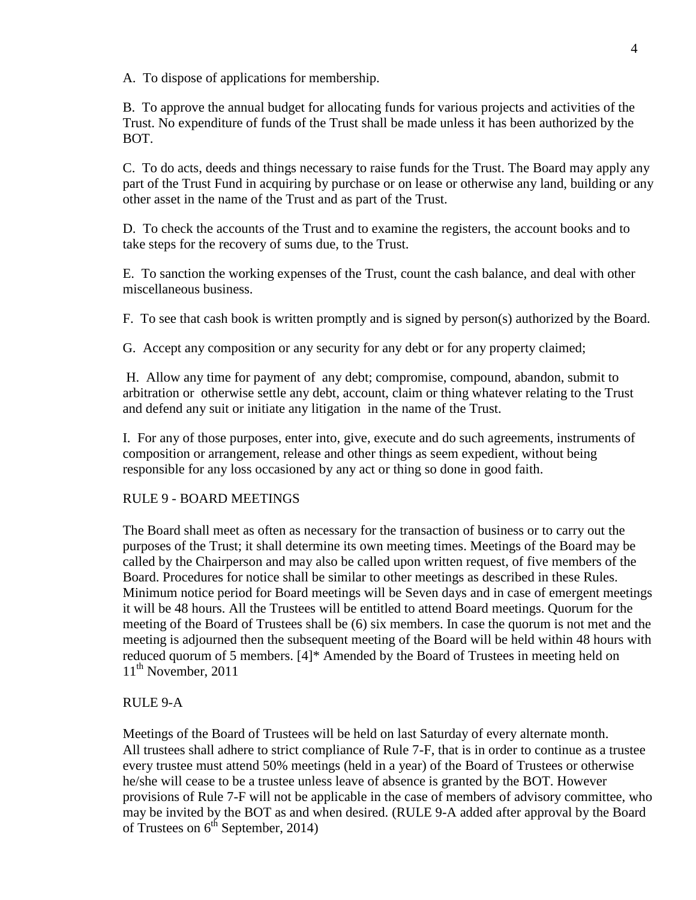A. To dispose of applications for membership.

B. To approve the annual budget for allocating funds for various projects and activities of the Trust. No expenditure of funds of the Trust shall be made unless it has been authorized by the BOT.

C. To do acts, deeds and things necessary to raise funds for the Trust. The Board may apply any part of the Trust Fund in acquiring by purchase or on lease or otherwise any land, building or any other asset in the name of the Trust and as part of the Trust.

D. To check the accounts of the Trust and to examine the registers, the account books and to take steps for the recovery of sums due, to the Trust.

E. To sanction the working expenses of the Trust, count the cash balance, and deal with other miscellaneous business.

F. To see that cash book is written promptly and is signed by person(s) authorized by the Board.

G. Accept any composition or any security for any debt or for any property claimed;

H. Allow any time for payment of any debt; compromise, compound, abandon, submit to arbitration or otherwise settle any debt, account, claim or thing whatever relating to the Trust and defend any suit or initiate any litigation in the name of the Trust.

I. For any of those purposes, enter into, give, execute and do such agreements, instruments of composition or arrangement, release and other things as seem expedient, without being responsible for any loss occasioned by any act or thing so done in good faith.

#### RULE 9 - BOARD MEETINGS

The Board shall meet as often as necessary for the transaction of business or to carry out the purposes of the Trust; it shall determine its own meeting times. Meetings of the Board may be called by the Chairperson and may also be called upon written request, of five members of the Board. Procedures for notice shall be similar to other meetings as described in these Rules. Minimum notice period for Board meetings will be Seven days and in case of emergent meetings it will be 48 hours. All the Trustees will be entitled to attend Board meetings. Quorum for the meeting of the Board of Trustees shall be (6) six members. In case the quorum is not met and the meeting is adjourned then the subsequent meeting of the Board will be held within 48 hours with reduced quorum of 5 members. [4]\* Amended by the Board of Trustees in meeting held on  $11<sup>th</sup>$  November, 2011

## RULE 9-A

Meetings of the Board of Trustees will be held on last Saturday of every alternate month. All trustees shall adhere to strict compliance of Rule 7-F, that is in order to continue as a trustee every trustee must attend 50% meetings (held in a year) of the Board of Trustees or otherwise he/she will cease to be a trustee unless leave of absence is granted by the BOT. However provisions of Rule 7-F will not be applicable in the case of members of advisory committee, who may be invited by the BOT as and when desired. (RULE 9-A added after approval by the Board of Trustees on  $6^{th}$  September, 2014)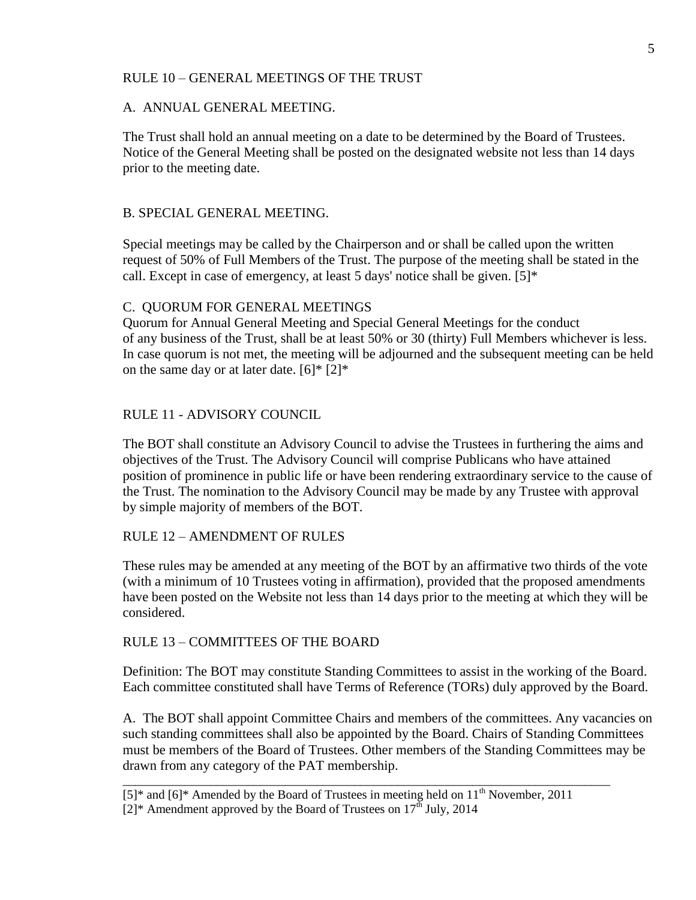#### RULE 10 – GENERAL MEETINGS OF THE TRUST

#### A. ANNUAL GENERAL MEETING.

The Trust shall hold an annual meeting on a date to be determined by the Board of Trustees. Notice of the General Meeting shall be posted on the designated website not less than 14 days prior to the meeting date.

#### B. SPECIAL GENERAL MEETING.

Special meetings may be called by the Chairperson and or shall be called upon the written request of 50% of Full Members of the Trust. The purpose of the meeting shall be stated in the call. Except in case of emergency, at least 5 days' notice shall be given. [5]\*

#### C. QUORUM FOR GENERAL MEETINGS

Quorum for Annual General Meeting and Special General Meetings for the conduct of any business of the Trust, shall be at least 50% or 30 (thirty) Full Members whichever is less. In case quorum is not met, the meeting will be adjourned and the subsequent meeting can be held on the same day or at later date.  $[6]^*$   $[2]^*$ 

#### RULE 11 - ADVISORY COUNCIL

The BOT shall constitute an Advisory Council to advise the Trustees in furthering the aims and objectives of the Trust. The Advisory Council will comprise Publicans who have attained position of prominence in public life or have been rendering extraordinary service to the cause of the Trust. The nomination to the Advisory Council may be made by any Trustee with approval by simple majority of members of the BOT.

#### RULE 12 – AMENDMENT OF RULES

These rules may be amended at any meeting of the BOT by an affirmative two thirds of the vote (with a minimum of 10 Trustees voting in affirmation), provided that the proposed amendments have been posted on the Website not less than 14 days prior to the meeting at which they will be considered.

#### RULE 13 – COMMITTEES OF THE BOARD

Definition: The BOT may constitute Standing Committees to assist in the working of the Board. Each committee constituted shall have Terms of Reference (TORs) duly approved by the Board.

A. The BOT shall appoint Committee Chairs and members of the committees. Any vacancies on such standing committees shall also be appointed by the Board. Chairs of Standing Committees must be members of the Board of Trustees. Other members of the Standing Committees may be drawn from any category of the PAT membership.

\_\_\_\_\_\_\_\_\_\_\_\_\_\_\_\_\_\_\_\_\_\_\_\_\_\_\_\_\_\_\_\_\_\_\_\_\_\_\_\_\_\_\_\_\_\_\_\_\_\_\_\_\_\_\_\_\_\_\_\_\_\_\_\_\_\_\_\_\_\_\_\_\_\_\_\_\_\_

 $[5]^*$  and  $[6]^*$  Amended by the Board of Trustees in meeting held on  $11^{th}$  November, 2011

 $[2]^*$  Amendment approved by the Board of Trustees on  $17<sup>th</sup>$  July, 2014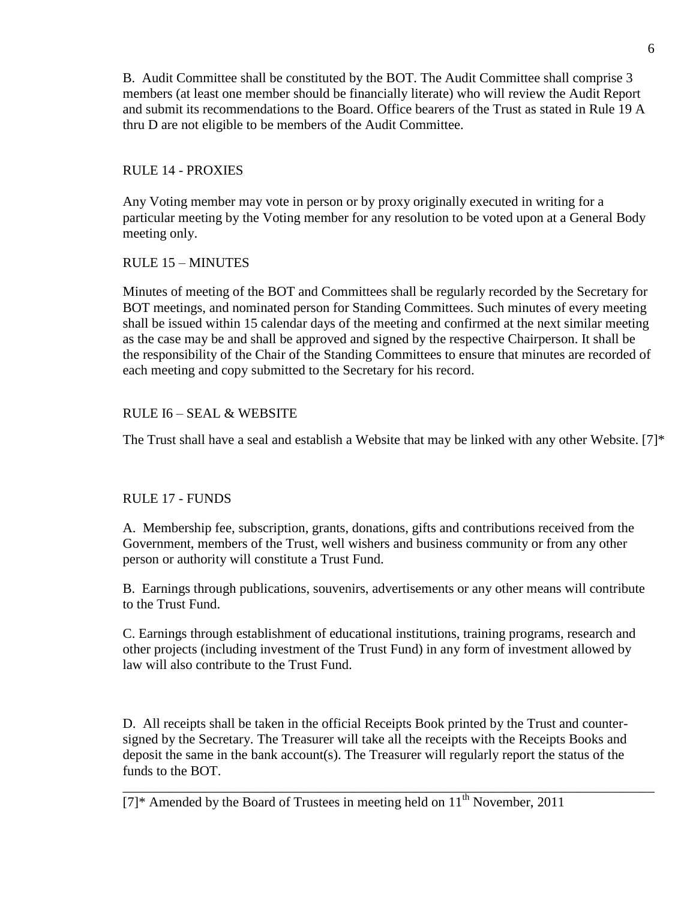B. Audit Committee shall be constituted by the BOT. The Audit Committee shall comprise 3 members (at least one member should be financially literate) who will review the Audit Report and submit its recommendations to the Board. Office bearers of the Trust as stated in Rule 19 A thru D are not eligible to be members of the Audit Committee.

## RULE 14 - PROXIES

Any Voting member may vote in person or by proxy originally executed in writing for a particular meeting by the Voting member for any resolution to be voted upon at a General Body meeting only.

# RULE 15 – MINUTES

Minutes of meeting of the BOT and Committees shall be regularly recorded by the Secretary for BOT meetings, and nominated person for Standing Committees. Such minutes of every meeting shall be issued within 15 calendar days of the meeting and confirmed at the next similar meeting as the case may be and shall be approved and signed by the respective Chairperson. It shall be the responsibility of the Chair of the Standing Committees to ensure that minutes are recorded of each meeting and copy submitted to the Secretary for his record.

# RULE I6 – SEAL & WEBSITE

The Trust shall have a seal and establish a Website that may be linked with any other Website. [7]\*

# RULE 17 - FUNDS

A. Membership fee, subscription, grants, donations, gifts and contributions received from the Government, members of the Trust, well wishers and business community or from any other person or authority will constitute a Trust Fund.

B. Earnings through publications, souvenirs, advertisements or any other means will contribute to the Trust Fund.

C. Earnings through establishment of educational institutions, training programs, research and other projects (including investment of the Trust Fund) in any form of investment allowed by law will also contribute to the Trust Fund.

D. All receipts shall be taken in the official Receipts Book printed by the Trust and countersigned by the Secretary. The Treasurer will take all the receipts with the Receipts Books and deposit the same in the bank account(s). The Treasurer will regularly report the status of the funds to the BOT.

\_\_\_\_\_\_\_\_\_\_\_\_\_\_\_\_\_\_\_\_\_\_\_\_\_\_\_\_\_\_\_\_\_\_\_\_\_\_\_\_\_\_\_\_\_\_\_\_\_\_\_\_\_\_\_\_\_\_\_\_\_\_\_\_\_\_\_\_\_\_\_\_\_\_\_\_\_\_

 $[7]^*$  Amended by the Board of Trustees in meeting held on  $11<sup>th</sup>$  November, 2011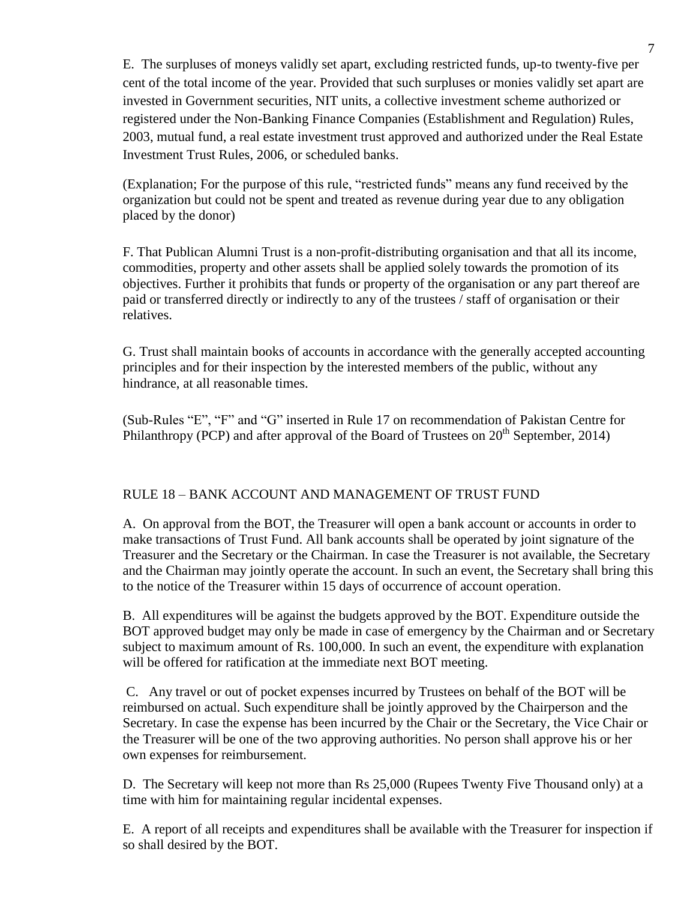E. The surpluses of moneys validly set apart, excluding restricted funds, up-to twenty-five per cent of the total income of the year. Provided that such surpluses or monies validly set apart are invested in Government securities, NIT units, a collective investment scheme authorized or registered under the Non-Banking Finance Companies (Establishment and Regulation) Rules, 2003, mutual fund, a real estate investment trust approved and authorized under the Real Estate Investment Trust Rules, 2006, or scheduled banks.

(Explanation; For the purpose of this rule, "restricted funds" means any fund received by the organization but could not be spent and treated as revenue during year due to any obligation placed by the donor)

F. That Publican Alumni Trust is a non-profit-distributing organisation and that all its income, commodities, property and other assets shall be applied solely towards the promotion of its objectives. Further it prohibits that funds or property of the organisation or any part thereof are paid or transferred directly or indirectly to any of the trustees / staff of organisation or their relatives.

G. Trust shall maintain books of accounts in accordance with the generally accepted accounting principles and for their inspection by the interested members of the public, without any hindrance, at all reasonable times.

(Sub-Rules "E", "F" and "G" inserted in Rule 17 on recommendation of Pakistan Centre for Philanthropy (PCP) and after approval of the Board of Trustees on 20<sup>th</sup> September, 2014)

# RULE 18 – BANK ACCOUNT AND MANAGEMENT OF TRUST FUND

A. On approval from the BOT, the Treasurer will open a bank account or accounts in order to make transactions of Trust Fund. All bank accounts shall be operated by joint signature of the Treasurer and the Secretary or the Chairman. In case the Treasurer is not available, the Secretary and the Chairman may jointly operate the account. In such an event, the Secretary shall bring this to the notice of the Treasurer within 15 days of occurrence of account operation.

B. All expenditures will be against the budgets approved by the BOT. Expenditure outside the BOT approved budget may only be made in case of emergency by the Chairman and or Secretary subject to maximum amount of Rs. 100,000. In such an event, the expenditure with explanation will be offered for ratification at the immediate next BOT meeting.

C. Any travel or out of pocket expenses incurred by Trustees on behalf of the BOT will be reimbursed on actual. Such expenditure shall be jointly approved by the Chairperson and the Secretary. In case the expense has been incurred by the Chair or the Secretary, the Vice Chair or the Treasurer will be one of the two approving authorities. No person shall approve his or her own expenses for reimbursement.

D. The Secretary will keep not more than Rs 25,000 (Rupees Twenty Five Thousand only) at a time with him for maintaining regular incidental expenses.

E. A report of all receipts and expenditures shall be available with the Treasurer for inspection if so shall desired by the BOT.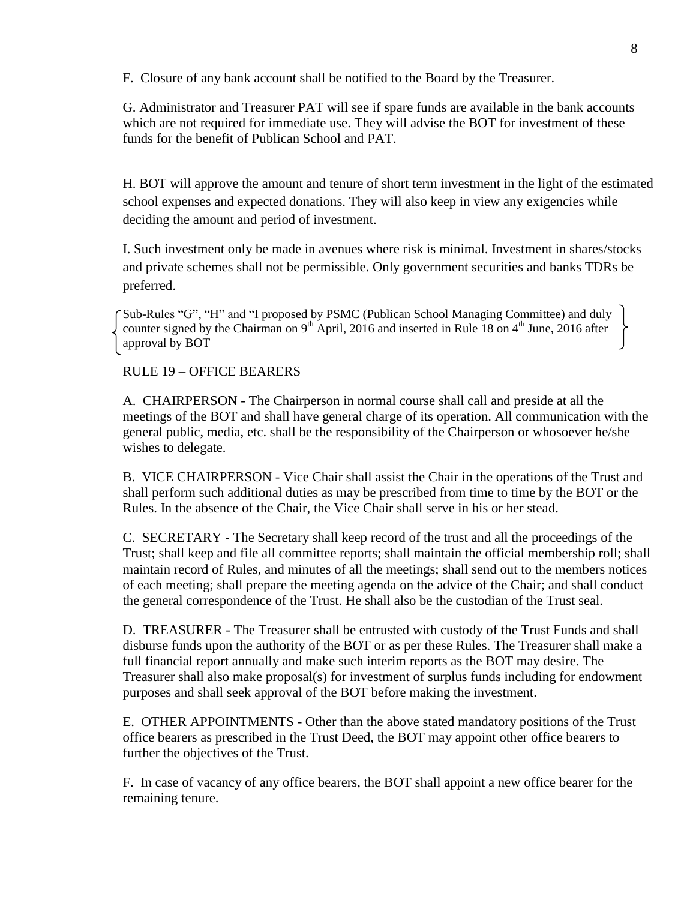F. Closure of any bank account shall be notified to the Board by the Treasurer.

G. Administrator and Treasurer PAT will see if spare funds are available in the bank accounts which are not required for immediate use. They will advise the BOT for investment of these funds for the benefit of Publican School and PAT.

H. BOT will approve the amount and tenure of short term investment in the light of the estimated school expenses and expected donations. They will also keep in view any exigencies while deciding the amount and period of investment.

I. Such investment only be made in avenues where risk is minimal. Investment in shares/stocks and private schemes shall not be permissible. Only government securities and banks TDRs be preferred.

Sub-Rules "G", "H" and "I proposed by PSMC (Publican School Managing Committee) and duly counter signed by the Chairman on 9<sup>th</sup> April, 2016 and inserted in Rule 18 on 4<sup>th</sup> June, 2016 after approval by BOT

#### RULE 19 – OFFICE BEARERS

A. CHAIRPERSON - The Chairperson in normal course shall call and preside at all the meetings of the BOT and shall have general charge of its operation. All communication with the general public, media, etc. shall be the responsibility of the Chairperson or whosoever he/she wishes to delegate.

B. VICE CHAIRPERSON - Vice Chair shall assist the Chair in the operations of the Trust and shall perform such additional duties as may be prescribed from time to time by the BOT or the Rules. In the absence of the Chair, the Vice Chair shall serve in his or her stead.

C. SECRETARY - The Secretary shall keep record of the trust and all the proceedings of the Trust; shall keep and file all committee reports; shall maintain the official membership roll; shall maintain record of Rules, and minutes of all the meetings; shall send out to the members notices of each meeting; shall prepare the meeting agenda on the advice of the Chair; and shall conduct the general correspondence of the Trust. He shall also be the custodian of the Trust seal.

D. TREASURER - The Treasurer shall be entrusted with custody of the Trust Funds and shall disburse funds upon the authority of the BOT or as per these Rules. The Treasurer shall make a full financial report annually and make such interim reports as the BOT may desire. The Treasurer shall also make proposal(s) for investment of surplus funds including for endowment purposes and shall seek approval of the BOT before making the investment.

E. OTHER APPOINTMENTS - Other than the above stated mandatory positions of the Trust office bearers as prescribed in the Trust Deed, the BOT may appoint other office bearers to further the objectives of the Trust.

F. In case of vacancy of any office bearers, the BOT shall appoint a new office bearer for the remaining tenure.